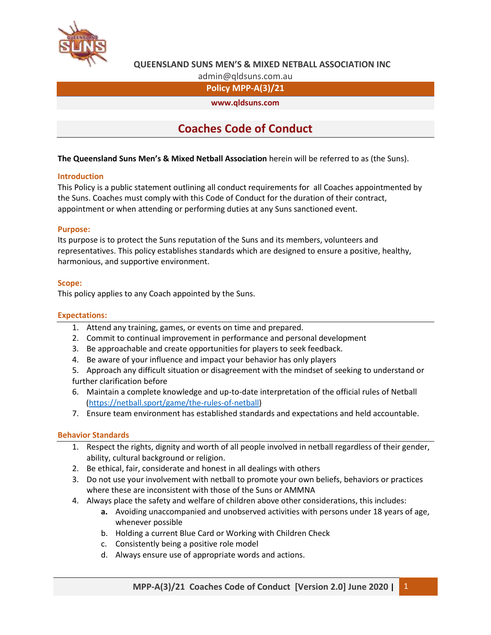

# **QUEENSLAND SUNS MEN'S & MIXED NETBALL ASSOCIATION INC**

admin@qldsuns.com.au

**Policy MPP-A(3)/21**

**www.qldsuns.com**

# **Coaches Code of Conduct**

**The Queensland Suns Men's & Mixed Netball Association** herein will be referred to as (the Suns).

#### **Introduction**

This Policy is a public statement outlining all conduct requirements for all Coaches appointmented by the Suns. Coaches must comply with this Code of Conduct for the duration of their contract, appointment or when attending or performing duties at any Suns sanctioned event.

#### **Purpose:**

Its purpose is to protect the Suns reputation of the Suns and its members, volunteers and representatives. This policy establishes standards which are designed to ensure a positive, healthy, harmonious, and supportive environment.

#### **Scope:**

This policy applies to any Coach appointed by the Suns.

## **Expectations:**

- 1. Attend any training, games, or events on time and prepared.
- 2. Commit to continual improvement in performance and personal development
- 3. Be approachable and create opportunities for players to seek feedback.
- 4. Be aware of your influence and impact your behavior has only players
- 5. Approach any difficult situation or disagreement with the mindset of seeking to understand or further clarification before
- 6. Maintain a complete knowledge and up-to-date interpretation of the official rules of Netball [\(https://netball.sport/game/the-rules-of-netball\)](https://netball.sport/game/the-rules-of-netball)
- 7. Ensure team environment has established standards and expectations and held accountable.

#### **Behavior Standards**

- 1. Respect the rights, dignity and worth of all people involved in netball regardless of their gender, ability, cultural background or religion.
- 2. Be ethical, fair, considerate and honest in all dealings with others
- 3. Do not use your involvement with netball to promote your own beliefs, behaviors or practices where these are inconsistent with those of the Suns or AMMNA
- 4. Always place the safety and welfare of children above other considerations, this includes:
	- **a.** Avoiding unaccompanied and unobserved activities with persons under 18 years of age, whenever possible
	- b. Holding a current Blue Card or Working with Children Check
	- c. Consistently being a positive role model
	- d. Always ensure use of appropriate words and actions.